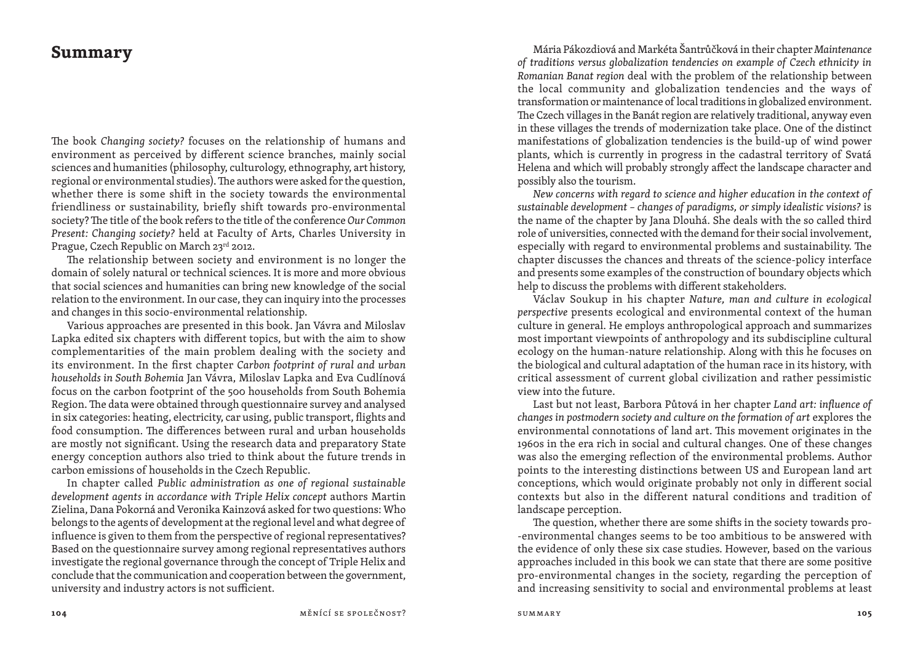## **Summary**

The book *Changing society?* focuses on the relationship of humans and environment as perceived by different science branches, mainly social sciences and humanities (philosophy, culturology, ethnography, art history, regional or environmental studies). The authors were asked for the question, whether there is some shift in the society towards the environmental friendliness or sustainability, briefly shift towards pro -environmental society? The title of the book refers to the title of the conference Our Common *Present: Changing society?* held at Faculty of Arts, Charles University in Prague, Czech Republic on March 23rd 2012.

The relationship between society and environment is no longer the domain of solely natural or technical sciences. It is more and more obvious that social sciences and humanities can bring new knowledge of the social relation to the environment. In our case, they can inquiry into the processes and changes in this socio -environmental relationship.

 Various approaches are presented in this book. Jan Vávra and Miloslav Lapka edited six chapters with different topics, but with the aim to show complementarities of the main problem dealing with the society and its environment. In the first chapter *Carbon footprint of rural and urban households in South Bohemia* Jan Vávra, Miloslav Lapka and Eva Cudlínová focus on the carbon footprint of the 500 households from South Bohemia Region. The data were obtained through questionnaire survey and analysed in six categories: heating, electricity, car using, public transport, flights and food consumption. The differences between rural and urban households are mostly not significant. Using the research data and preparatory State energy conception authors also tried to think about the future trends in carbon emissions of households in the Czech Republic.

 In chapter called *Public administration as one of regional sustainable development agents in accordance with Triple Helix concept* authors Martin Zielina, Dana Pokorná and Veronika Kainzová asked for two questions: Who belongs to the agents of development at the regional level and what degree of influence is given to them from the perspective of regional representatives? Based on the questionnaire survey among regional representatives authors investigate the regional governance through the concept of Triple Helix and conclude that the communication and cooperation between the government, university and industry actors is not sufficient.

Mária Pákozdiová and Markéta Šantrůčková in their chapter *Maintenance of traditions versus globalization tendencies on example of Czech ethnicity in Romanian Banat region* deal with the problem of the relationship between the local community and globalization tendencies and the ways of transformation or maintenance of local traditions in globalized environment. The Czech villages in the Banát region are relatively traditional, anyway even in these villages the trends of modernization take place. One of the distinct manifestations of globalization tendencies is the build -up of wind power plants, which is currently in progress in the cadastral territory of Svatá Helena and which will probably strongly affect the landscape character and possibly also the tourism.

 *New concerns with regard to science and higher education in the context of sustainable development – changes of paradigms, or simply idealistic visions?* is the name of the chapter by Jana Dlouhá. She deals with the so called third role of universities, connected with the demand for their social involvement, especially with regard to environmental problems and sustainability. The chapter discusses the chances and threats of the science -policy interface and presents some examples of the construction of boundary objects which help to discuss the problems with different stakeholders.

 Václav Soukup in his chapter *Nature, man and culture in ecological perspective* presents ecological and environmental context of the human culture in general. He employs anthropological approach and summarizes most important viewpoints of anthropology and its subdiscipline cultural ecology on the human-nature relationship. Along with this he focuses on the biological and cultural adaptation of the human race in its history, with critical assessment of current global civilization and rather pessimistic view into the future.

 Last but not least, Barbora Půtová in her chapter *Land art: influence of changes in postmodern society and culture on the formation of art* explores the environmental connotations of land art. This movement originates in the 1960s in the era rich in social and cultural changes. One of these changes was also the emerging reflection of the environmental problems. Author points to the interesting distinctions between US and European land art conceptions, which would originate probably not only in different social contexts but also in the different natural conditions and tradition of landscape perception.

The question, whether there are some shifts in the society towards pro- -environmental changes seems to be too ambitious to be answered with the evidence of only these six case studies. However, based on the various approaches included in this book we can state that there are some positive pro -environmental changes in the society, regarding the perception of and increasing sensitivity to social and environmental problems at least